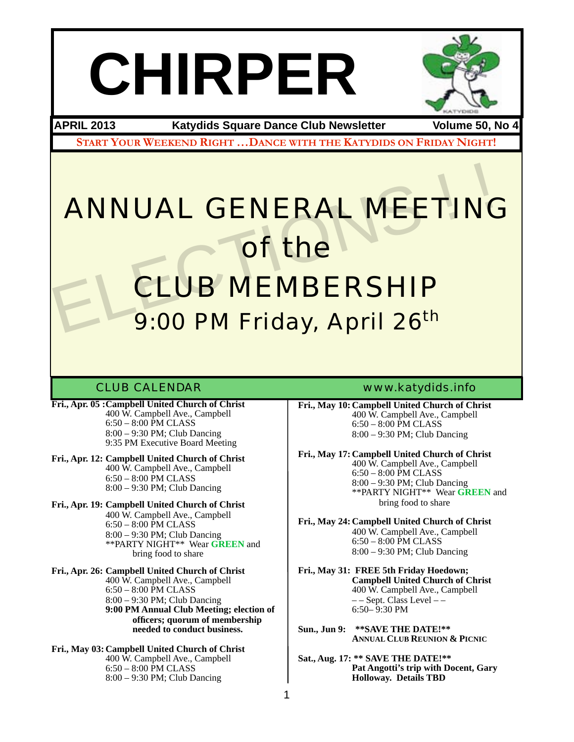# **CHIRPER**



**APRIL 2013 Katydids Square Dance Club Newsletter Volume 50, No 4**

**START YOUR WEEKEND RIGHT …DANCE WITH THE KATYDIDS ON FRIDAY NIGHT!**

## ANNUAL GENERAL MEETING of the CLUB MEMBERSHIP ANNUAL GENERAL MEETING<br>
THE CLUB MEMBERSHIP<br>
9:00 PM Friday, April 26<sup>th</sup> 9:00 PM Friday, April 26<sup>th</sup>

- **Fri., Apr. 05 :Campbell United Church of Christ** ! ! 400 W. Campbell Ave., Campbell  $6:50 - 8:00$  PM CLASS<br> $8:00 - 9:30$  PM; Club Dancing 9:35 PM Executive Board Meeting
- **Fri., Apr. 12: Campbell United Church of Christ**  $400 \text{ W}$ . Campbell Ave., Campbell  $6:50 - 8:00 \text{ PM CLASS}$ 8:00 – 9:30 PM; Club Dancing
- **Fri., Apr. 19: Campbell United Church of Christ** ! ! 400 W. Campbell Ave., Campbell  $6:50 - 8:00$  PM CLASS ! ! 8:00 – 9:30 PM; Club Dancing ! ! \*\*PARTY NIGHT\*\* Wear **GREEN** and ! ! ! bring food to share
- **Fri., Apr. 26: Campbell United Church of Christ** ! ! 400 W. Campbell Ave., Campbell 6:50 – 8:00 PM CLASS 8:00 – 9:30 PM; Club Dancing ! ! **9:00 PM Annual Club Meeting; election of ! ! ! officers; quorum of membership ! ! ! needed to conduct business.**
- **Fri., May 03: Campbell United Church of Christ** 400 W. Campbell Ave., Campbell 6:50 – 8:00 PM CLASS 8:00 – 9:30 PM; Club Dancing

### CLUB CALENDAR [www.katydids.info](http://www.katydids.info)

**Fri., May 10: Campbell United Church of Christ** ! ! 400 W. Campbell Ave., Campbell 6:50 – 8:00 PM CLASS 8:00 – 9:30 PM; Club Dancing

**Fri., May 17: Campbell United Church of Christ** ! ! 400 W. Campbell Ave., Campbell 6:50 – 8:00 PM CLASS 8:00 – 9:30 PM; Club Dancing ! ! \*\*PARTY NIGHT\*\* Wear **GREEN** and bring food to share

**Fri., May 24: Campbell United Church of Christ** ! ! 400 W. Campbell Ave., Campbell 6:50 – 8:00 PM CLASS 8:00 – 9:30 PM; Club Dancing

**Fri., May 31: FREE 5th Friday Hoedown;** ! ! **Campbell United Church of Christ** ! ! 400 W. Campbell Ave., Campbell – – Sept. Class Level – –<br>6:50– 9:30 PM

**Sun., Jun 9: \*\*SAVE THE DATE!\*\* ! ! ANNUAL CLUB REUNION & PICNIC**

**Sat., Aug. 17: \*\* SAVE THE DATE!\*\* ! ! Pat Angotti's trip with Docent, Gary ! ! Holloway. Details TBD**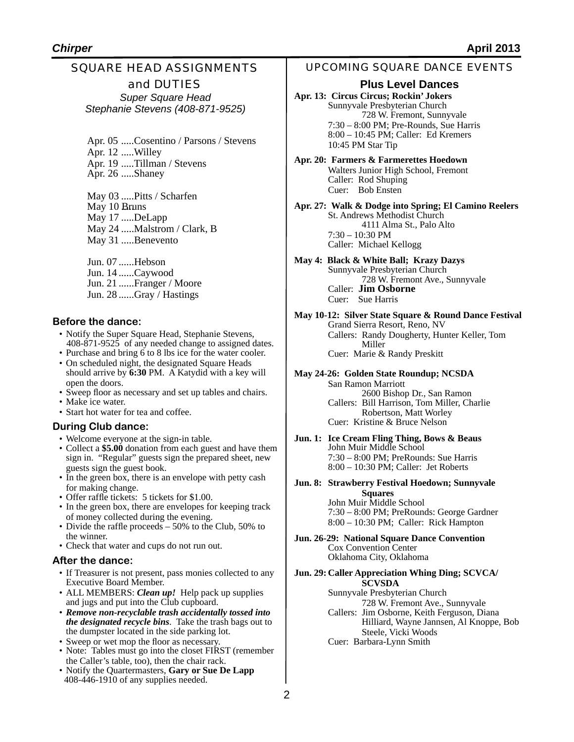### SQUARE HEAD ASSIGNMENTS and DUTIES *Super Square Head*

*Stephanie Stevens (408-871-9525)*

Apr. 05 .....Cosentino / Parsons / Stevens Apr. 12 .....Willey

Apr. 19 .....Tillman / Stevens Apr. 26 .....Shaney

May 03 .....Pitts / Scharfen May 10 Bruns May 17 .....DeLapp May 24 .....Malstrom / Clark, B May 31 .....Benevento

Jun. 07 ......Hebson Jun. 14 ......Caywood Jun. 21 ......Franger / Moore Jun. 28 ......Gray / Hastings

### **Before the dance:**

- Notify the Super Square Head, Stephanie Stevens, 408-871-9525 of any needed change to assigned dates.
- Purchase and bring 6 to 8 lbs ice for the water cooler.
- On scheduled night, the designated Square Heads should arrive by **6:30** PM. A Katydid with a key will open the doors.
- Sweep floor as necessary and set up tables and chairs.
- Make ice water.
- Start hot water for tea and coffee.

### **During Club dance:**

- Welcome everyone at the sign-in table.
- Collect a **\$5.00** donation from each guest and have them sign in. "Regular" guests sign the prepared sheet, new guests sign the guest book.
- In the green box, there is an envelope with petty cash for making change.
- Offer raffle tickets: 5 tickets for \$1.00.
- In the green box, there are envelopes for keeping track of money collected during the evening.
- Divide the raffle proceeds 50% to the Club, 50% to the winner.
- Check that water and cups do not run out.

### **After the dance:**

- If Treasurer is not present, pass monies collected to any Executive Board Member.
- ALL MEMBERS: *Clean up!* Help pack up supplies and jugs and put into the Club cupboard.
- *Remove non-recyclable trash accidentally tossed into the designated recycle bins*. Take the trash bags out to the dumpster located in the side parking lot.
- Sweep or wet mop the floor as necessary.
- Note: Tables must go into the closet FIRST (remember the Caller's table, too), then the chair rack.
- Notify the Quartermasters, **Gary or Sue De Lapp**  408-446-1910 of any supplies needed.

### UPCOMING SQUARE DANCE EVENTS

### **Plus Level Dances**

**Apr. 13: Circus Circus; Rockin' Jokers** Sunnyvale Presbyterian Church ! ! 728 W. Fremont, Sunnyvale 7:30 – 8:00 PM; Pre-Rounds, Sue Harris 8:00 – 10:45 PM; Caller: Ed Kremers 10:45 PM Star Tip

**Apr. 20: Farmers & Farmerettes Hoedown** Walters Junior High School, Fremont Caller: Rod Shuping Cuer: Bob Ensten

**Apr. 27: Walk & Dodge into Spring; El Camino Reelers** St. Andrews Methodist Church ! ! 4111 Alma St., Palo Alto 7:30 – 10:30 PM Caller: Michael Kellogg

**May 4: Black & White Ball; Krazy Dazys** Sunnyvale Presbyterian Church 728 W. Fremont Ave., Sunnyvale Caller: **Jim Osborne** Cuer: Sue Harris

**May 10-12: Silver State Square & Round Dance Festival** Grand Sierra Resort, Reno, NV Callers: Randy Dougherty, Hunter Keller, Tom<br>
Miller Cuer: Marie & Randy Preskitt

**May 24-26: Golden State Roundup; NCSDA**

San Ramon Marriott 2600 Bishop Dr., San Ramon Callers: Bill Harrison, Tom Miller, Charlie Robertson, Matt Worley Cuer: Kristine & Bruce Nelson

**Jun. 1: Ice Cream Fling Thing, Bows & Beaus** John Muir Middle School 7:30 – 8:00 PM; PreRounds: Sue Harris 8:00 – 10:30 PM; Caller: Jet Roberts

**Jun. 8: Strawberry Festival Hoedown; Sunnyvale** 

**! ! Squares** John Muir Middle School 7:30 – 8:00 PM; PreRounds: George Gardner 8:00 – 10:30 PM; Caller: Rick Hampton

**Jun. 26-29: National Square Dance Convention** Cox Convention Center Oklahoma City, Oklahoma

**Jun. 29: Caller Appreciation Whing Ding; SCVCA/ ! ! SCVSDA**

Sunnyvale Presbyterian Church 728 W. Fremont Ave., Sunnyvale Callers: Jim Osborne, Keith Ferguson, Diana Hilliard, Wayne Jannsen, Al Knoppe, Bob Steele, Vicki Woods Cuer: Barbara-Lynn Smith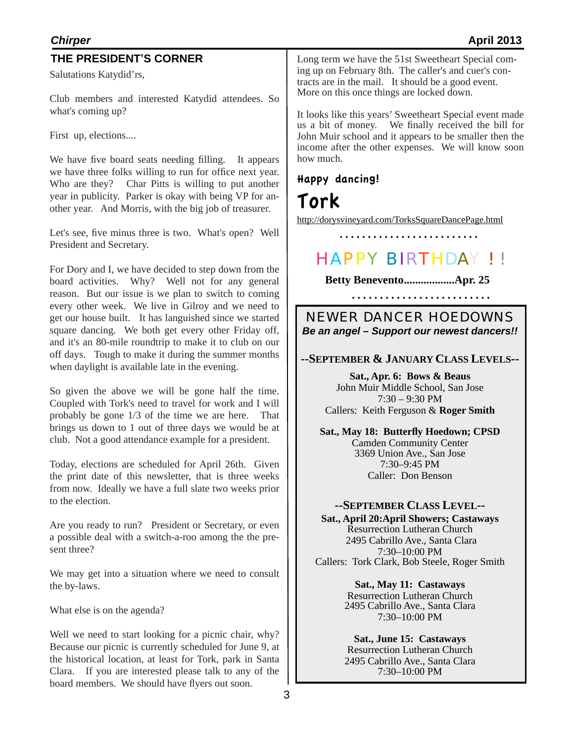| <b>Chirper</b>                                                                                                         | <b>April 2013</b>                                                                                                                                                   |
|------------------------------------------------------------------------------------------------------------------------|---------------------------------------------------------------------------------------------------------------------------------------------------------------------|
| THE PRESIDENT'S CORNER                                                                                                 | Long term we have the 51st Sweetheart Special com-                                                                                                                  |
| Salutations Katydid'rs,                                                                                                | ing up on February 8th. The caller's and cuer's con-<br>tracts are in the mail. It should be a good event.<br>More on this once things are locked down.             |
| Club members and interested Katydid attendees. So<br>what's coming up?                                                 | It looks like this years' Sweetheart Special event made                                                                                                             |
| First up, elections                                                                                                    | us a bit of money. We finally received the bill for<br>John Muir school and it appears to be smaller then the<br>income after the other expenses. We will know soon |
| We have five board seats needing filling. It appears<br>we have three folks willing to run for office next year.       | how much.                                                                                                                                                           |
| Char Pitts is willing to put another<br>Who are they?<br>year in publicity. Parker is okay with being VP for an-       | Happy dancing!<br>Tork                                                                                                                                              |
| other year. And Morris, with the big job of treasurer.                                                                 |                                                                                                                                                                     |
| Let's see, five minus three is two. What's open? Well                                                                  | http://dorysvineyard.com/TorksSquareDancePage.html                                                                                                                  |
| President and Secretary.                                                                                               | <b>HAPPY BIRTHDAY!!</b>                                                                                                                                             |
| For Dory and I, we have decided to step down from the                                                                  |                                                                                                                                                                     |
| board activities. Why? Well not for any general<br>reason. But our issue is we plan to switch to coming                | Betty BeneventoApr. 25<br>.                                                                                                                                         |
| every other week. We live in Gilroy and we need to                                                                     | <b>NEWER DANCER HOEDOWNS</b>                                                                                                                                        |
| get our house built. It has languished since we started<br>square dancing. We both get every other Friday off,         | Be an angel - Support our newest dancers!!                                                                                                                          |
| and it's an 80-mile roundtrip to make it to club on our                                                                |                                                                                                                                                                     |
| off days. Tough to make it during the summer months<br>when daylight is available late in the evening.                 | --SEPTEMBER & JANUARY CLASS LEVELS--                                                                                                                                |
| So given the above we will be gone half the time.                                                                      | Sat., Apr. 6: Bows & Beaus<br>John Muir Middle School, San Jose                                                                                                     |
| Coupled with Tork's need to travel for work and I will                                                                 | $7:30 - 9:30$ PM<br>Callers: Keith Ferguson & Roger Smith                                                                                                           |
| probably be gone 1/3 of the time we are here. That<br>brings us down to 1 out of three days we would be at             |                                                                                                                                                                     |
| club. Not a good attendance example for a president.                                                                   | Sat., May 18: Butterfly Hoedown; CPSD<br><b>Camden Community Center</b>                                                                                             |
| Today, elections are scheduled for April 26th. Given                                                                   | 3369 Union Ave San Jose<br>7:30-9:45 PM                                                                                                                             |
| the print date of this newsletter, that is three weeks                                                                 | Caller: Don Benson                                                                                                                                                  |
| from now. Ideally we have a full slate two weeks prior                                                                 |                                                                                                                                                                     |
| to the election.                                                                                                       | --SEPTEMBER CLASS LEVEL--                                                                                                                                           |
| Are you ready to run? President or Secretary, or even                                                                  | Sat., April 20: April Showers; Castaways<br><b>Resurrection Lutheran Church</b>                                                                                     |
| a possible deal with a switch-a-roo among the the pre-<br>sent three?                                                  | 2495 Cabrillo Ave., Santa Clara                                                                                                                                     |
|                                                                                                                        | 7:30-10:00 PM<br>Callers: Tork Clark, Bob Steele, Roger Smith                                                                                                       |
| We may get into a situation where we need to consult<br>the by-laws.                                                   | Sat., May 11: Castaways                                                                                                                                             |
|                                                                                                                        | <b>Resurrection Lutheran Church</b>                                                                                                                                 |
| What else is on the agenda?                                                                                            | 2495 Cabrillo Ave., Santa Clara<br>7:30-10:00 PM                                                                                                                    |
| Well we need to start looking for a picnic chair, why?                                                                 |                                                                                                                                                                     |
| Because our picnic is currently scheduled for June 9, at                                                               | Sat., June 15: Castaways<br><b>Resurrection Lutheran Church</b>                                                                                                     |
| the historical location, at least for Tork, park in Santa<br>If you are interested please talk to any of the<br>Clara. | 2495 Cabrillo Ave., Santa Clara<br>$7:30-10:00$ PM                                                                                                                  |
| board members. We should have flyers out soon.                                                                         |                                                                                                                                                                     |
| 3                                                                                                                      |                                                                                                                                                                     |
|                                                                                                                        |                                                                                                                                                                     |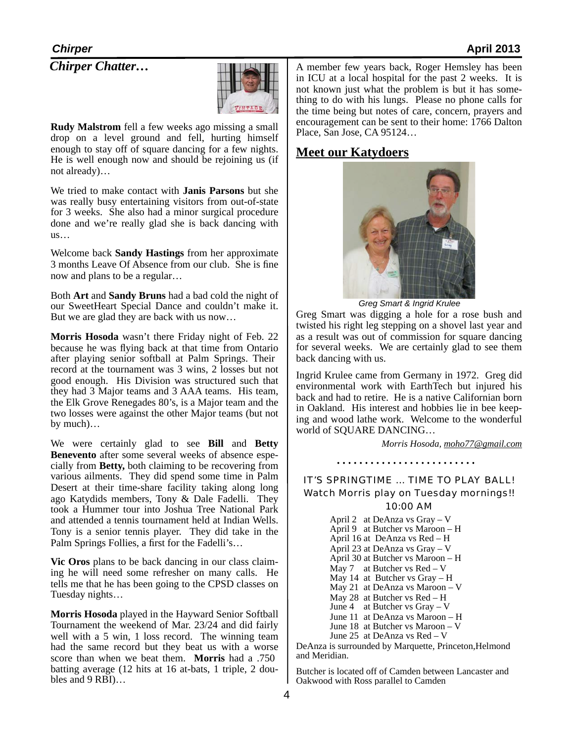*Chirper Chatter…*



**Rudy Malstrom** fell a few weeks ago missing a small drop on a level ground and fell, hurting himself enough to stay off of square dancing for a few nights. He is well enough now and should be rejoining us (if not already)…

We tried to make contact with **Janis Parsons** but she was really busy entertaining visitors from out-of-state for 3 weeks. She also had a minor surgical procedure done and we're really glad she is back dancing with us…

Welcome back **Sandy Hastings** from her approximate 3 months Leave Of Absence from our club. She is fine now and plans to be a regular…

Both **Art** and **Sandy Bruns** had a bad cold the night of our SweetHeart Special Dance and couldn't make it. But we are glad they are back with us now…

**Morris Hosoda** wasn't there Friday night of Feb. 22 because he was flying back at that time from Ontario after playing senior softball at Palm Springs. Their record at the tournament was 3 wins, 2 losses but not good enough. His Division was structured such that they had 3 Major teams and 3 AAA teams. His team, the Elk Grove Renegades 80's, is a Major team and the two losses were against the other Major teams (but not by much)…

We were certainly glad to see **Bill** and **Betty Benevento** after some several weeks of absence especially from **Betty,** both claiming to be recovering from various ailments. They did spend some time in Palm Desert at their time-share facility taking along long ago Katydids members, Tony & Dale Fadelli. They took a Hummer tour into Joshua Tree National Park and attended a tennis tournament held at Indian Wells. Tony is a senior tennis player. They did take in the Palm Springs Follies, a first for the Fadelli's…

**Vic Oros** plans to be back dancing in our class claiming he will need some refresher on many calls. He tells me that he has been going to the CPSD classes on Tuesday nights…

**Morris Hosoda** played in the Hayward Senior Softball Tournament the weekend of Mar. 23/24 and did fairly well with a 5 win, 1 loss record. The winning team had the same record but they beat us with a worse score than when we beat them. **Morris** had a .750 batting average (12 hits at 16 at-bats, 1 triple, 2 dou-<br>bles and 9 RBI)...

A member few years back, Roger Hemsley has been in ICU at a local hospital for the past 2 weeks. It is not known just what the problem is but it has something to do with his lungs. Please no phone calls for the time being but notes of care, concern, prayers and encouragement can be sent to their home: 1766 Dalton Place, San Jose, CA 95124…

### **Meet our Katydoers**



*Greg Smart & Ingrid Krulee*

Greg Smart was digging a hole for a rose bush and twisted his right leg stepping on a shovel last year and as a result was out of commission for square dancing for several weeks. We are certainly glad to see them back dancing with us.

Ingrid Krulee came from Germany in 1972. Greg did environmental work with EarthTech but injured his back and had to retire. He is a native Californian born in Oakland. His interest and hobbies lie in bee keeping and wood lathe work. Welcome to the wonderful world of SQUARE DANCING…

*Morris Hosoda, [moho77@gmail.com](mailto:moho77@gmail.com)*

IT'S SPRINGTIME … TIME TO PLAY BALL! Watch Morris play on Tuesday mornings!! 10:00 AM

April 2 at DeAnza vs Gray – V April 9 at Butcher vs Maroon – H April 16 at DeAnza vs Red – H April 23 at DeAnza vs Gray – V April 30 at Butcher vs Maroon – H May 7 at Butcher vs Red – V May 14 at Butcher vs Gray – H May 21 at DeAnza vs Maroon – V May 28 at Butcher vs Red – H June 4 at Butcher vs Gray – V June 11 at DeAnza vs Maroon – H June 18 at Butcher vs Maroon – V June 25 at DeAnza vs Red – V

DeAnza is surrounded by Marquette, Princeton,Helmond and Meridian.

Butcher is located off of Camden between Lancaster and Oakwood with Ross parallel to Camden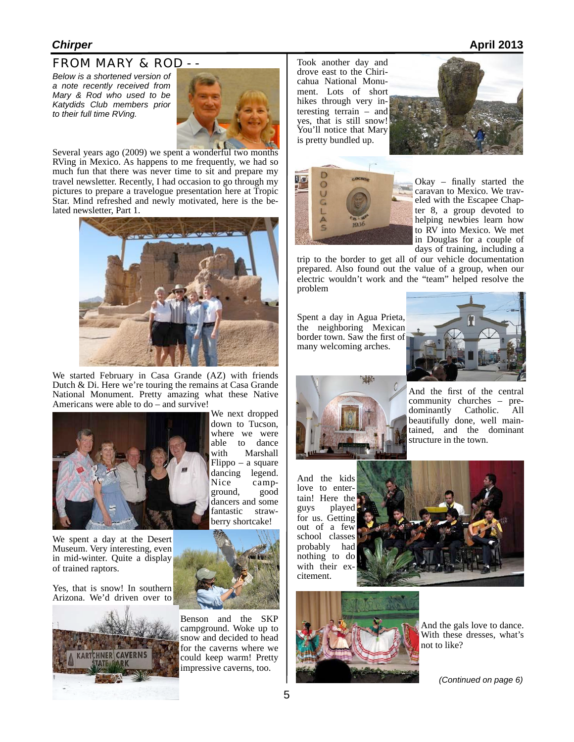### FROM MARY & ROD - -

*Below is a shortened version of a note recently received from Mary & Rod who used to be Katydids Club members prior to their full time RVing.*



Several years ago (2009) we spent a wonderful two months RVing in Mexico. As happens to me frequently, we had so much fun that there was never time to sit and prepare my travel newsletter. Recently, I had occasion to go through my pictures to prepare a travelogue presentation here at Tropic Star. Mind refreshed and newly motivated, here is the belated newsletter, Part 1.



We started February in Casa Grande (AZ) with friends Dutch & Di. Here we're touring the remains at Casa Grande National Monument. Pretty amazing what these Native Americans were able to do – and survive!



We spent a day at the Desert Museum. Very interesting, even in mid-winter. Quite a display of trained raptors.

Yes, that is snow! In southern Arizona. We'd driven over to



We next dropped down to Tucson, where we were able to dance with Marshall Flippo – a square dancing legend. Nice camp-<br>ground, good dancers and some fantastic strawberry shortcake!



Benson and the SKP campground. Woke up to snow and decided to head for the caverns where we could keep warm! Pretty impressive caverns, too.

Took another day and cahua National Monument. Lots of short hikes through very interesting terrain – and yes, that is still snow! You'll notice that Mary is pretty bundled up.





Okay – finally started the caravan to Mexico. We traveled with the Escapee Chapter 8, a group devoted to helping newbies learn how to RV into Mexico. We met in Douglas for a couple of days of training, including a

trip to the border to get all of our vehicle documentation prepared. Also found out the value of a group, when our electric wouldn't work and the "team" helped resolve the problem

Spent a day in Agua Prieta, the neighboring Mexican border town. Saw the first of many welcoming arches.





And the first of the central community churches – pre-<br>dominantly Catholic. All dominantly beautifully done, well maintained, and the dominant structure in the town.

And the kids love to entertain! Here the<br>guys played played for us. Getting out of a few school classes probably had nothing to do with their ex-<br>citement.





And the gals love to dance. With these dresses, what's not to like?

*(Continued on page 6)*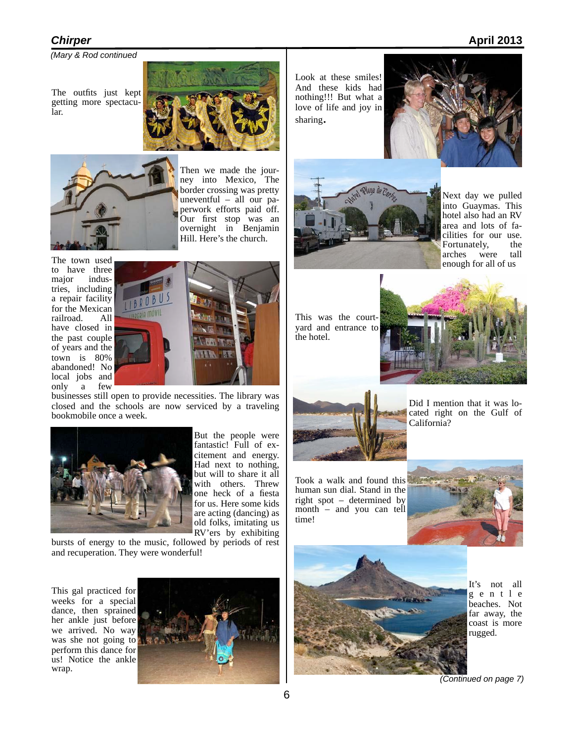*(Mary & Rod continued* 

The outfits just kept getting more spectacular.





Then we made the journey into Mexico, The border crossing was pretty uneventful – all our paperwork efforts paid off. Our first stop was an overnight in Benjamin Hill. Here's the church.

The town used to have three<br>major indusindustries, including a repair facility for the Mexican railroad. have closed in the past couple of years and the town is 80% abandoned! No local jobs and only a few



businesses still open to provide necessities. The library was closed and the schools are now serviced by a traveling bookmobile once a week.



But the people were fantastic! Full of excitement and energy. Had next to nothing, but will to share it all with others. Threw one heck of a fiesta for us. Here some kids are acting (dancing) as old folks, imitating us RV'ers by exhibiting

bursts of energy to the music, followed by periods of rest and recuperation. They were wonderful!

This gal practiced for weeks for a special dance, then sprained her ankle just before we arrived. No way was she not going to perform this dance for us! Notice the ankle wrap.



Look at these smiles! And these kids had nothing!!! But what a love of life and joy in sharing.





Next day we pulled into Guaymas. This hotel also had an RV area and lots of facilities for our use. Fortunately, the arches were tall enough for all of us

This was the courtyard and entrance to the hotel.





Did I mention that it was located right on the Gulf of California?

Took a walk and found this human sun dial. Stand in the right spot – determined by month – and you can tell time!





It's not all g e n t l e beaches. Not far away, the coast is more rugged.

*(Continued on page 7)*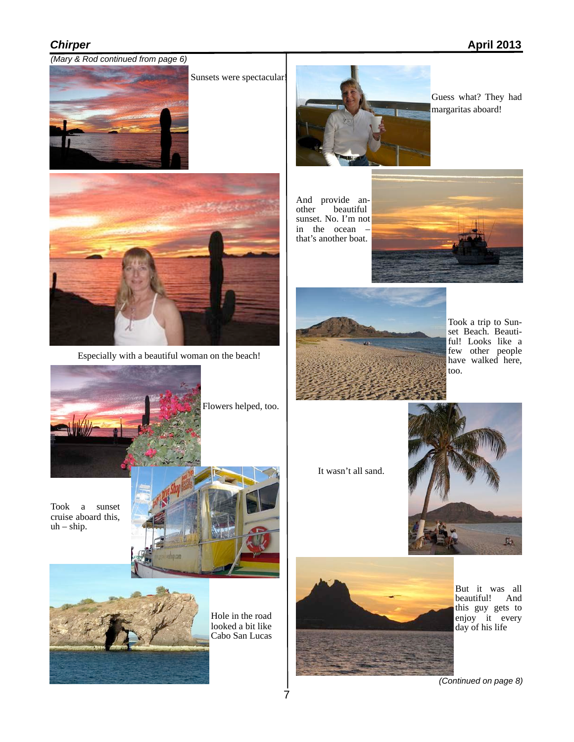### *(Mary & Rod continued from page 6)*



Sunsets were spectacular!



Especially with a beautiful woman on the beach!



Flowers helped, too.

Took a sunset cruise aboard this,  $uh - ship.$ 





Hole in the road looked a bit like Cabo San Lucas



Guess what? They had margaritas aboard!

And provide an-<br>other beautiful beautiful sunset. No. I'm not in the ocean – that's another boat.





Took a trip to Sunset Beach. Beautiful! Looks like a few other people have walked here, too.

It wasn't all sand.





But it was all beautiful! And this guy gets to enjoy it every day of his life

*(Continued on page 8)*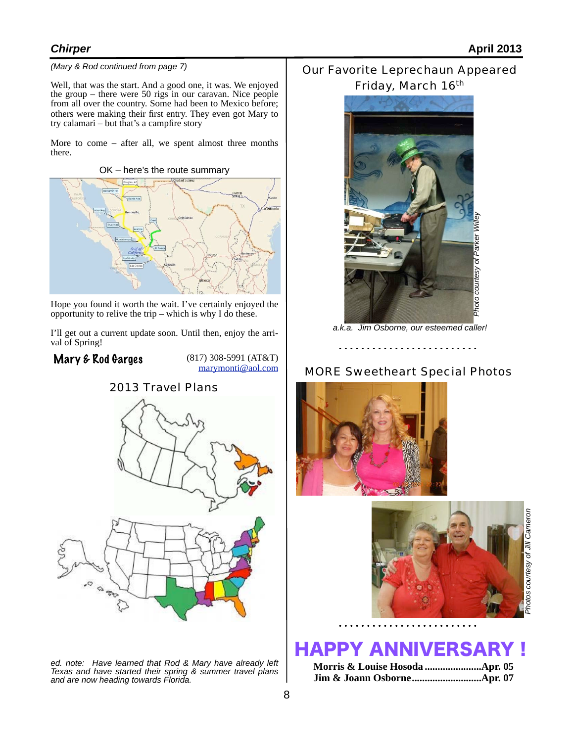### *(Mary & Rod continued from page 7)*

Well, that was the start. And a good one, it was. We enjoyed the group – there were 50 rigs in our caravan. Nice people from all over the country. Some had been to Mexico before; others were making their first entry. They even got Mary to try calamari – but that's a campfire story

More to come – after all, we spent almost three months there.

OK – here's the route summary



Hope you found it worth the wait. I've certainly enjoyed the opportunity to relive the trip – which is why I do these.

I'll get out a current update soon. Until then, enjoy the arri- val of Spring!

### Mary & Rod Garges

(817) 308-5991 (AT&T) [marymonti@aol.com](mailto:marymonti@aol.com)



*ed. note: Have learned that Rod & Mary have already left Texas and have started their spring & summer travel plans and are now heading towards Florida.*

### Our Favorite Leprechaun Appeared Friday, March 16<sup>th</sup>



*a.k.a. Jim Osborne, our esteemed caller!*

### MORE Sweetheart Special Photos





### HAPPY ANNIVERSARY !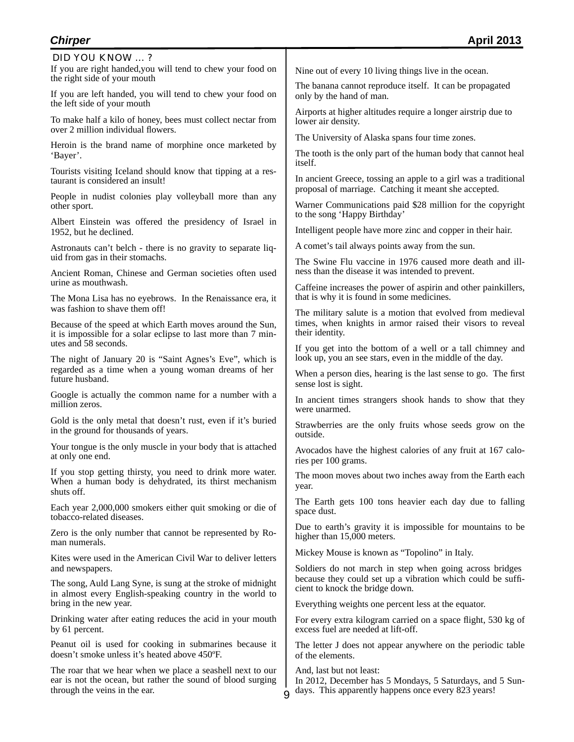If you are right handed,you will tend to chew your food on the right side of your mouth DID YOU KNOW … ?

If you are left handed, you will tend to chew your food on the left side of your mouth

To make half a kilo of honey, bees must collect nectar from over 2 million individual flowers.

Heroin is the brand name of morphine once marketed by 'Bayer'.

Tourists visiting Iceland should know that tipping at a res- taurant is considered an insult!

People in nudist colonies play volleyball more than any other sport.

Albert Einstein was offered the presidency of Israel in 1952, but he declined.

Astronauts can't belch - there is no gravity to separate liquid from gas in their stomachs.

Ancient Roman, Chinese and German societies often used urine as mouthwash.

The Mona Lisa has no eyebrows. In the Renaissance era, it was fashion to shave them off!

Because of the speed at which Earth moves around the Sun, it is impossible for a solar eclipse to last more than 7 minutes and 58 seconds.

The night of January 20 is "Saint Agnes's Eve", which is regarded as a time when a young woman dreams of her future husband.

Google is actually the common name for a number with a million zeros.

Gold is the only metal that doesn't rust, even if it's buried in the ground for thousands of years.

Your tongue is the only muscle in your body that is attached at only one end.

If you stop getting thirsty, you need to drink more water. When a human body is dehydrated, its thirst mechanism shuts off.

Each year 2,000,000 smokers either quit smoking or die of tobacco-related diseases.

Zero is the only number that cannot be represented by Roman numerals.

Kites were used in the American Civil War to deliver letters and newspapers.

The song, Auld Lang Syne, is sung at the stroke of midnight in almost every English-speaking country in the world to bring in the new year.

Drinking water after eating reduces the acid in your mouth by 61 percent.

Peanut oil is used for cooking in submarines because it doesn't smoke unless it's heated above 450ºF.

The roar that we hear when we place a seashell next to our ear is not the ocean, but rather the sound of blood surging through the veins in the ear.

Nine out of every 10 living things live in the ocean.

The banana cannot reproduce itself. It can be propagated only by the hand of man.

Airports at higher altitudes require a longer airstrip due to lower air density.

The University of Alaska spans four time zones.

The tooth is the only part of the human body that cannot heal itself.

In ancient Greece, tossing an apple to a girl was a traditional proposal of marriage. Catching it meant she accepted.

Warner Communications paid \$28 million for the copyright to the song 'Happy Birthday'

Intelligent people have more zinc and copper in their hair.

A comet's tail always points away from the sun.

The Swine Flu vaccine in 1976 caused more death and illness than the disease it was intended to prevent.

Caffeine increases the power of aspirin and other painkillers, that is why it is found in some medicines.

The military salute is a motion that evolved from medieval times, when knights in armor raised their visors to reveal their identity.

If you get into the bottom of a well or a tall chimney and look up, you an see stars, even in the middle of the day.

When a person dies, hearing is the last sense to go. The first sense lost is sight.

In ancient times strangers shook hands to show that they were unarmed.

Strawberries are the only fruits whose seeds grow on the outside.

Avocados have the highest calories of any fruit at 167 calories per 100 grams.

The moon moves about two inches away from the Earth each year.

The Earth gets 100 tons heavier each day due to falling space dust.

Due to earth's gravity it is impossible for mountains to be higher than 15,000 meters.

Mickey Mouse is known as "Topolino" in Italy.

Soldiers do not march in step when going across bridges because they could set up a vibration which could be sufficient to knock the bridge down.

Everything weights one percent less at the equator.

For every extra kilogram carried on a space flight, 530 kg of excess fuel are needed at lift-off.

The letter J does not appear anywhere on the periodic table of the elements.

And, last but not least:

In 2012, December has 5 Mondays, 5 Saturdays, and 5 Sundays. This apparently happens once every 823 years!